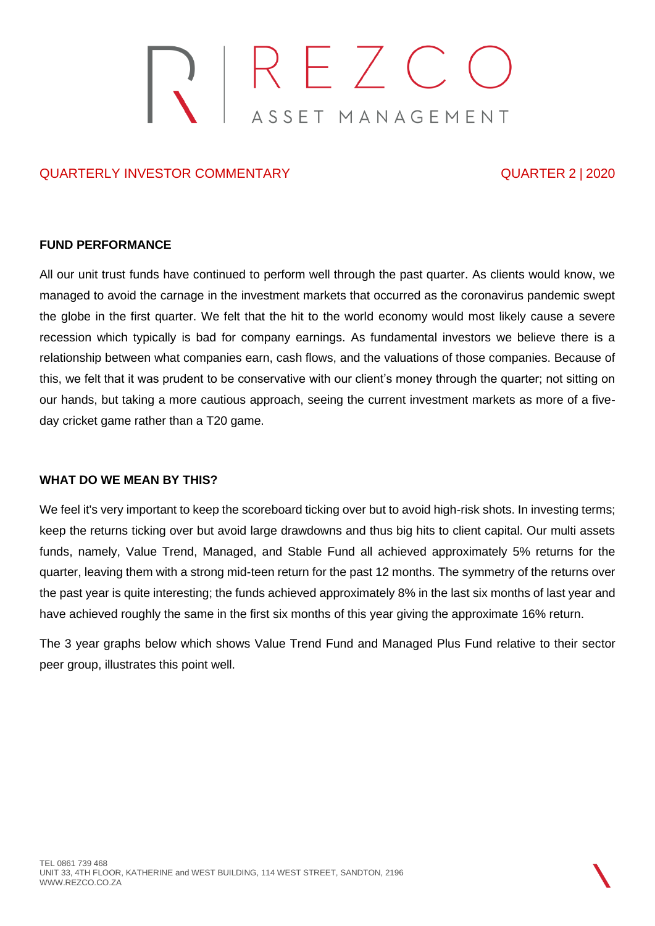# REZCO<br>ASSET MANAGEMENT

# QUARTERLY INVESTOR COMMENTARY QUARTER 2 | 2020

### **FUND PERFORMANCE**

All our unit trust funds have continued to perform well through the past quarter. As clients would know, we managed to avoid the carnage in the investment markets that occurred as the coronavirus pandemic swept the globe in the first quarter. We felt that the hit to the world economy would most likely cause a severe recession which typically is bad for company earnings. As fundamental investors we believe there is a relationship between what companies earn, cash flows, and the valuations of those companies. Because of this, we felt that it was prudent to be conservative with our client's money through the quarter; not sitting on our hands, but taking a more cautious approach, seeing the current investment markets as more of a fiveday cricket game rather than a T20 game.

### **WHAT DO WE MEAN BY THIS?**

We feel it's very important to keep the scoreboard ticking over but to avoid high-risk shots. In investing terms; keep the returns ticking over but avoid large drawdowns and thus big hits to client capital. Our multi assets funds, namely, Value Trend, Managed, and Stable Fund all achieved approximately 5% returns for the quarter, leaving them with a strong mid-teen return for the past 12 months. The symmetry of the returns over the past year is quite interesting; the funds achieved approximately 8% in the last six months of last year and have achieved roughly the same in the first six months of this year giving the approximate 16% return.

The 3 year graphs below which shows Value Trend Fund and Managed Plus Fund relative to their sector peer group, illustrates this point well.

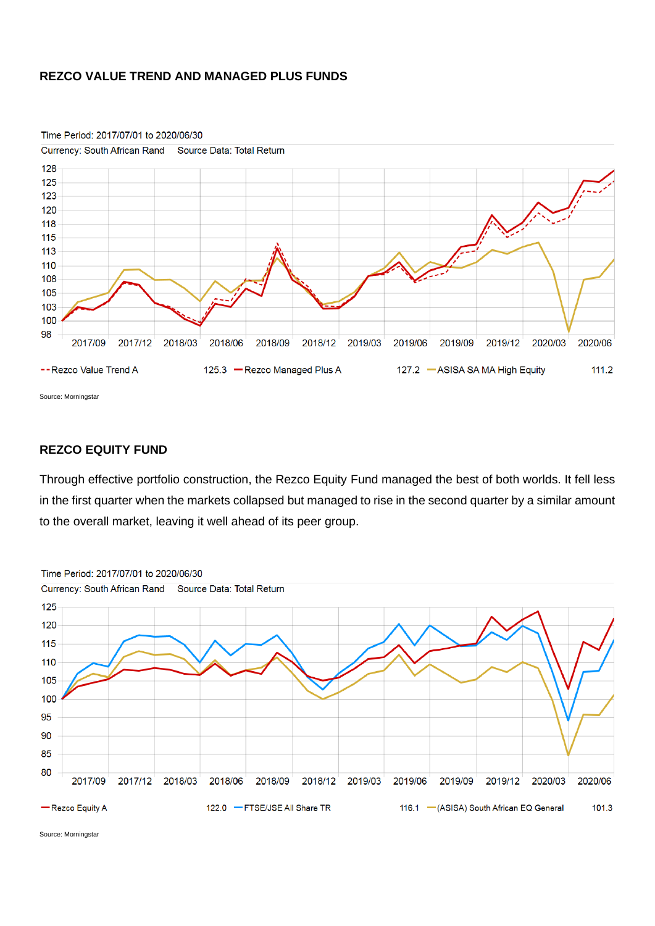### **REZCO VALUE TREND AND MANAGED PLUS FUNDS**



Time Period: 2017/07/01 to 2020/06/30

Source: Morningstar

## **REZCO EQUITY FUND**

Through effective portfolio construction, the Rezco Equity Fund managed the best of both worlds. It fell less in the first quarter when the markets collapsed but managed to rise in the second quarter by a similar amount to the overall market, leaving it well ahead of its peer group.



Source: Morningstar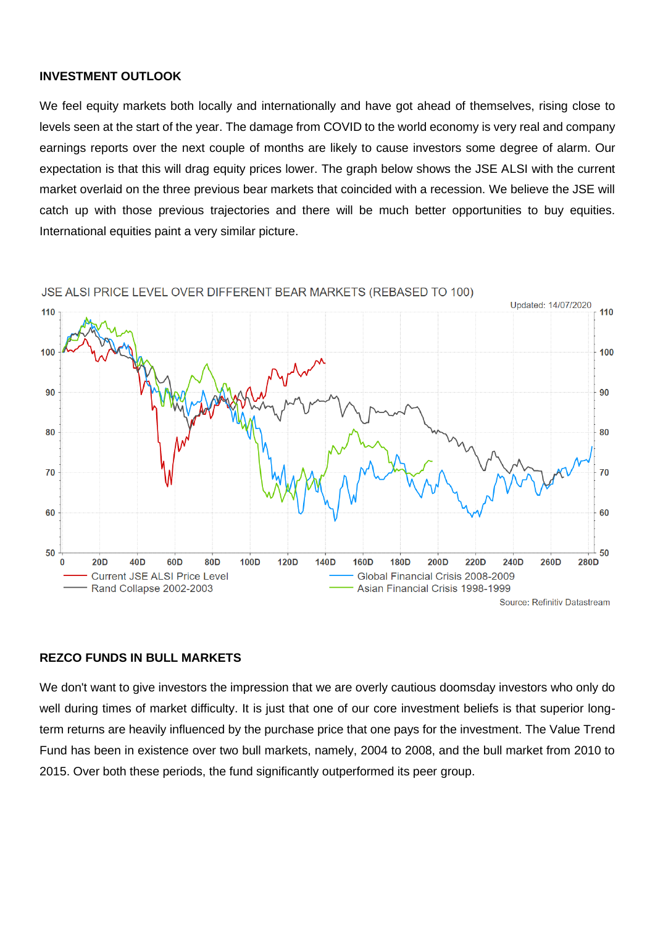### **INVESTMENT OUTLOOK**

We feel equity markets both locally and internationally and have got ahead of themselves, rising close to levels seen at the start of the year. The damage from COVID to the world economy is very real and company earnings reports over the next couple of months are likely to cause investors some degree of alarm. Our expectation is that this will drag equity prices lower. The graph below shows the JSE ALSI with the current market overlaid on the three previous bear markets that coincided with a recession. We believe the JSE will catch up with those previous trajectories and there will be much better opportunities to buy equities. International equities paint a very similar picture.



JSE ALSI PRICE LEVEL OVER DIFFERENT BEAR MARKETS (REBASED TO 100)

### **REZCO FUNDS IN BULL MARKETS**

We don't want to give investors the impression that we are overly cautious doomsday investors who only do well during times of market difficulty. It is just that one of our core investment beliefs is that superior longterm returns are heavily influenced by the purchase price that one pays for the investment. The Value Trend Fund has been in existence over two bull markets, namely, 2004 to 2008, and the bull market from 2010 to 2015. Over both these periods, the fund significantly outperformed its peer group.